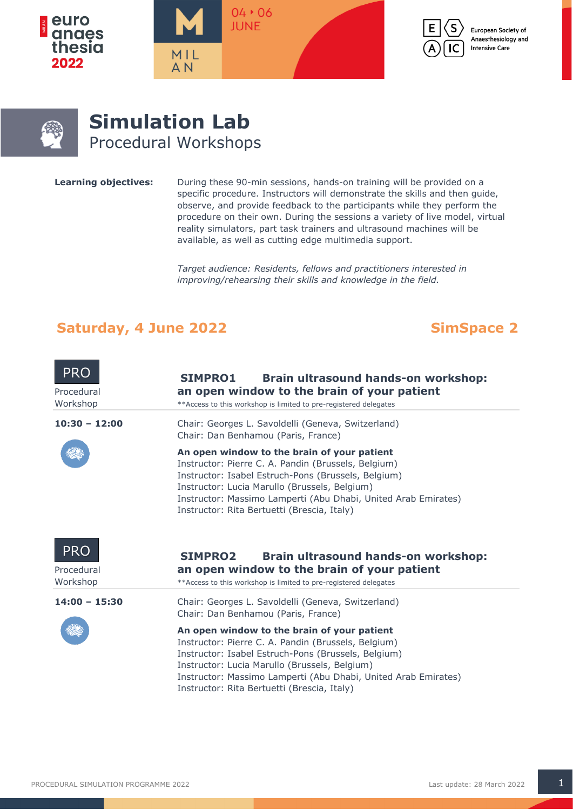







# **Simulation Lab** Procedural Workshops

**Learning objectives:** During these 90-min sessions, hands-on training will be provided on a specific procedure. Instructors will demonstrate the skills and then guide, observe, and provide feedback to the participants while they perform the procedure on their own. During the sessions a variety of live model, virtual reality simulators, part task trainers and ultrasound machines will be available, as well as cutting edge multimedia support.

> *Target audience: Residents, fellows and practitioners interested in improving/rehearsing their skills and knowledge in the field.*

## Saturday, 4 June 2022 **SimSpace 2**

| <b>PRO</b><br>Procedural<br>Workshop | <b>SIMPRO1</b><br>Brain ultrasound hands-on workshop:<br>an open window to the brain of your patient<br>**Access to this workshop is limited to pre-registered delegates                                                                                                                                                    |  |  |
|--------------------------------------|-----------------------------------------------------------------------------------------------------------------------------------------------------------------------------------------------------------------------------------------------------------------------------------------------------------------------------|--|--|
| $10:30 - 12:00$                      | Chair: Georges L. Savoldelli (Geneva, Switzerland)<br>Chair: Dan Benhamou (Paris, France)                                                                                                                                                                                                                                   |  |  |
|                                      | An open window to the brain of your patient<br>Instructor: Pierre C. A. Pandin (Brussels, Belgium)<br>Instructor: Isabel Estruch-Pons (Brussels, Belgium)<br>Instructor: Lucia Marullo (Brussels, Belgium)<br>Instructor: Massimo Lamperti (Abu Dhabi, United Arab Emirates)<br>Instructor: Rita Bertuetti (Brescia, Italy) |  |  |
| <b>PRO</b><br>Procedural<br>Workshop | <b>SIMPRO2</b><br>Brain ultrasound hands-on workshop:<br>an open window to the brain of your patient<br>** Access to this workshop is limited to pre-registered delegates                                                                                                                                                   |  |  |
| $14:00 - 15:30$                      | Chair: Georges L. Savoldelli (Geneva, Switzerland)<br>Chair: Dan Benhamou (Paris, France)                                                                                                                                                                                                                                   |  |  |
|                                      | An open window to the brain of your patient<br>Instructor: Pierre C. A. Pandin (Brussels, Belgium)<br>Instructor: Isabel Estruch-Pons (Brussels, Belgium)<br>Instructor: Lucia Marullo (Brussels, Belgium)<br>Instructor: Massimo Lamperti (Abu Dhabi, United Arab Emirates)<br>Instructor: Rita Bertuetti (Brescia, Italy) |  |  |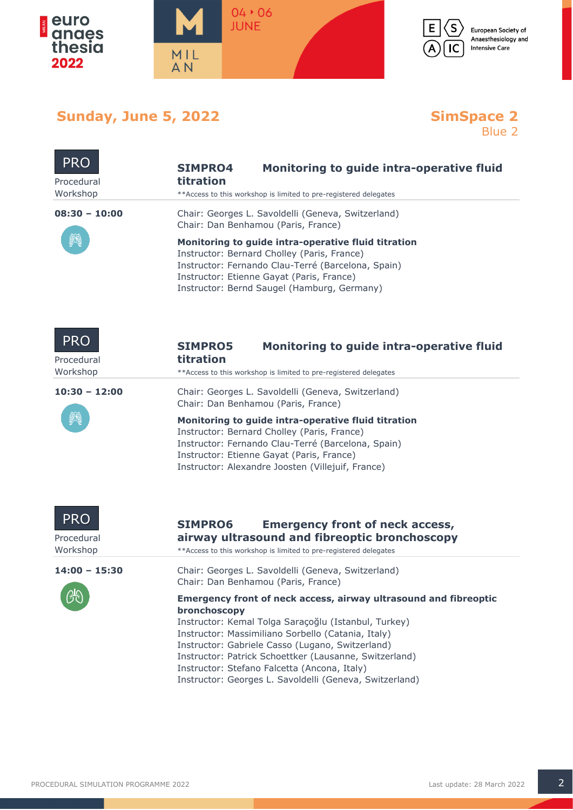



European Society of Anaesthesiology and **Intensive Care** 

# **Sunday, June 5, 2022**

# **SimSpace 2**<br>Blue 2

| <b>PRO</b><br>Procedural<br>Workshop | Monitoring to guide intra-operative fluid<br><b>SIMPRO4</b><br>titration<br>** Access to this workshop is limited to pre-registered delegates                                                                                                                                                                                                                                                                           |
|--------------------------------------|-------------------------------------------------------------------------------------------------------------------------------------------------------------------------------------------------------------------------------------------------------------------------------------------------------------------------------------------------------------------------------------------------------------------------|
| $08:30 - 10:00$                      | Chair: Georges L. Savoldelli (Geneva, Switzerland)<br>Chair: Dan Benhamou (Paris, France)                                                                                                                                                                                                                                                                                                                               |
|                                      | Monitoring to guide intra-operative fluid titration<br>Instructor: Bernard Cholley (Paris, France)<br>Instructor: Fernando Clau-Terré (Barcelona, Spain)<br>Instructor: Etienne Gayat (Paris, France)<br>Instructor: Bernd Saugel (Hamburg, Germany)                                                                                                                                                                    |
| <b>PRO</b><br>Procedural<br>Workshop | <b>SIMPRO5</b><br>Monitoring to guide intra-operative fluid<br>titration<br>** Access to this workshop is limited to pre-registered delegates                                                                                                                                                                                                                                                                           |
| $10:30 - 12:00$                      | Chair: Georges L. Savoldelli (Geneva, Switzerland)<br>Chair: Dan Benhamou (Paris, France)                                                                                                                                                                                                                                                                                                                               |
|                                      | Monitoring to guide intra-operative fluid titration<br>Instructor: Bernard Cholley (Paris, France)<br>Instructor: Fernando Clau-Terré (Barcelona, Spain)<br>Instructor: Etienne Gayat (Paris, France)<br>Instructor: Alexandre Joosten (Villejuif, France)                                                                                                                                                              |
| <b>PRO</b><br>Procedural<br>Workshop | <b>SIMPRO6</b><br><b>Emergency front of neck access,</b><br>airway ultrasound and fibreoptic bronchoscopy<br>** Access to this workshop is limited to pre-registered delegates                                                                                                                                                                                                                                          |
| $14:00 - 15:30$                      | Chair: Georges L. Savoldelli (Geneva, Switzerland)<br>Chair: Dan Benhamou (Paris, France)                                                                                                                                                                                                                                                                                                                               |
|                                      | Emergency front of neck access, airway ultrasound and fibreoptic<br>bronchoscopy<br>Instructor: Kemal Tolga Saraçoğlu (Istanbul, Turkey)<br>Instructor: Massimiliano Sorbello (Catania, Italy)<br>Instructor: Gabriele Casso (Lugano, Switzerland)<br>Instructor: Patrick Schoettker (Lausanne, Switzerland)<br>Instructor: Stefano Falcetta (Ancona, Italy)<br>Instructor: Georges L. Savoldelli (Geneva, Switzerland) |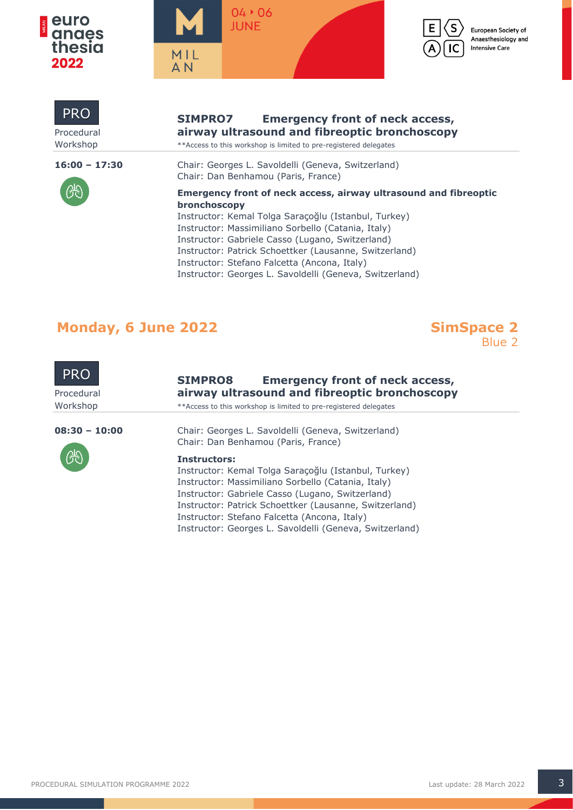







### **SIMPRO7 Emergency front of neck access,** Procedural **airway ultrasound and fibreoptic bronchoscopy**

Workshop \*\*\*
Access to this workshop is limited to pre-registered delegates

**16:00 – 17:30** Chair: Georges L. Savoldelli (Geneva, Switzerland) Chair: Dan Benhamou (Paris, France)



PRO

| Crique Dall Definantiou (Faris, Flance)                                                 |  |  |
|-----------------------------------------------------------------------------------------|--|--|
| <b>Emergency front of neck access, airway ultrasound and fibreoptic</b><br>bronchoscopy |  |  |
| Instructor: Kemal Tolga Saraçoğlu (Istanbul, Turkey)                                    |  |  |
| Instructor: Massimiliano Sorbello (Catania, Italy)                                      |  |  |
| Instructor: Gabriele Casso (Lugano, Switzerland)                                        |  |  |
| Instructor: Patrick Schoettker (Lausanne, Switzerland)                                  |  |  |
| Instructor: Stefano Falcetta (Ancona, Italy)                                            |  |  |
| Instructor: Georges L. Savoldelli (Geneva, Switzerland)                                 |  |  |

# **Monday, 6 June 2022 SimSpace 2**





## **SIMPRO8 Emergency front of neck access,** Procedural **airway ultrasound and fibreoptic bronchoscopy**

Workshop \*\*\* Access to this workshop is limited to pre-registered delegates



**08:30 – 10:00** Chair: Georges L. Savoldelli (Geneva, Switzerland) Chair: Dan Benhamou (Paris, France)

#### **Instructors:**

Instructor: Kemal Tolga Saraçoğlu (Istanbul, Turkey) Instructor: Massimiliano Sorbello (Catania, Italy) Instructor: Gabriele Casso (Lugano, Switzerland) Instructor: Patrick Schoettker (Lausanne, Switzerland) Instructor: Stefano Falcetta (Ancona, Italy) Instructor: Georges L. Savoldelli (Geneva, Switzerland)